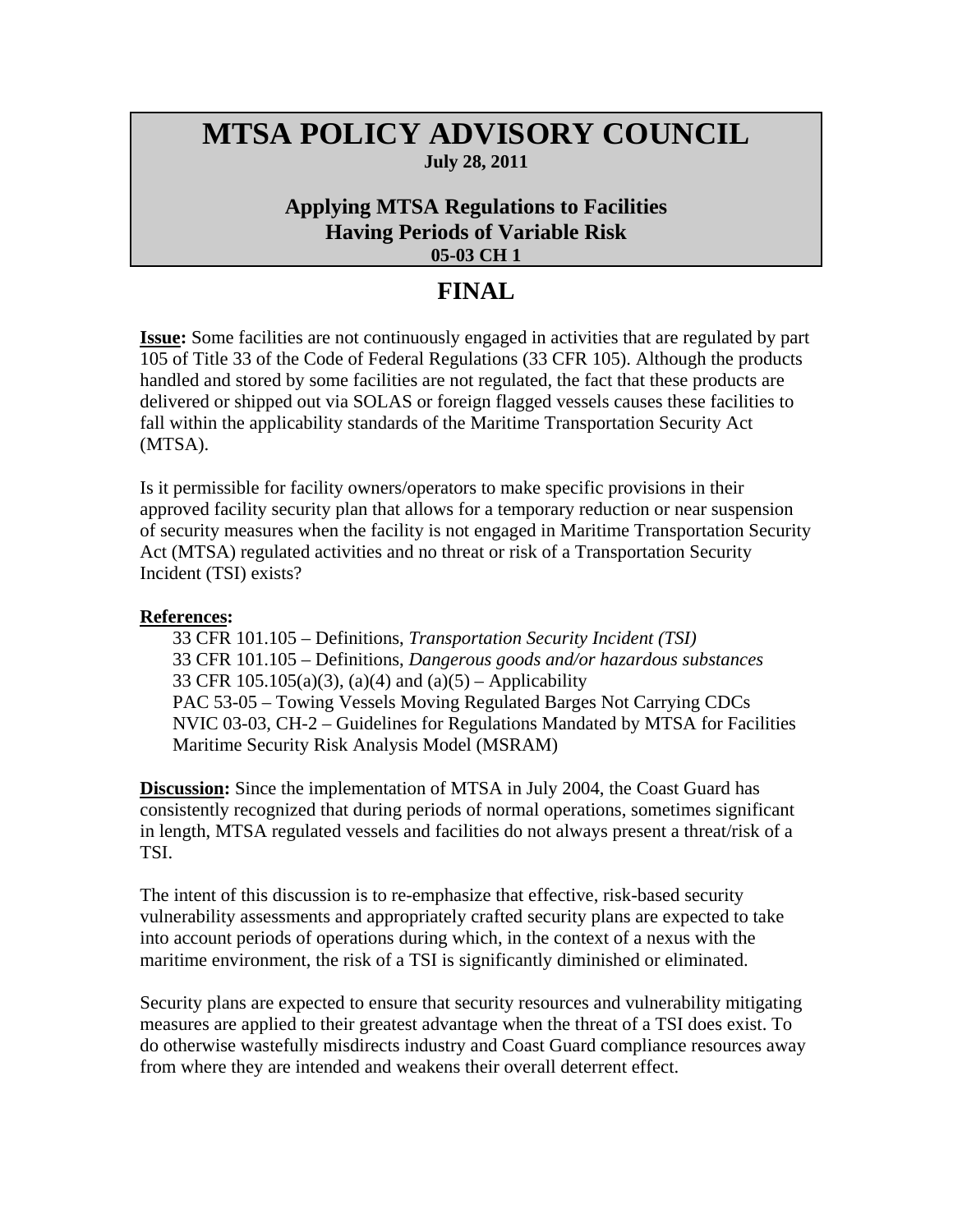## **MTSA POLICY ADVISORY COUNCIL July 28, 2011**

## **Applying MTSA Regulations to Facilities Having Periods of Variable Risk 05-03 CH 1**

## **FINAL**

**Issue:** Some facilities are not continuously engaged in activities that are regulated by part 105 of Title 33 of the Code of Federal Regulations (33 CFR 105). Although the products handled and stored by some facilities are not regulated, the fact that these products are delivered or shipped out via SOLAS or foreign flagged vessels causes these facilities to fall within the applicability standards of the Maritime Transportation Security Act (MTSA).

Is it permissible for facility owners/operators to make specific provisions in their approved facility security plan that allows for a temporary reduction or near suspension of security measures when the facility is not engaged in Maritime Transportation Security Act (MTSA) regulated activities and no threat or risk of a Transportation Security Incident (TSI) exists?

## **References:**

 33 CFR 101.105 – Definitions, *Transportation Security Incident (TSI)* 33 CFR 101.105 – Definitions, *Dangerous goods and/or hazardous substances*  33 CFR 105.105(a)(3), (a)(4) and (a)(5) – Applicability PAC 53-05 – Towing Vessels Moving Regulated Barges Not Carrying CDCs NVIC 03-03, CH-2 – Guidelines for Regulations Mandated by MTSA for Facilities Maritime Security Risk Analysis Model (MSRAM)

**Discussion:** Since the implementation of MTSA in July 2004, the Coast Guard has consistently recognized that during periods of normal operations, sometimes significant in length, MTSA regulated vessels and facilities do not always present a threat/risk of a TSI.

The intent of this discussion is to re-emphasize that effective, risk-based security vulnerability assessments and appropriately crafted security plans are expected to take into account periods of operations during which, in the context of a nexus with the maritime environment, the risk of a TSI is significantly diminished or eliminated.

Security plans are expected to ensure that security resources and vulnerability mitigating measures are applied to their greatest advantage when the threat of a TSI does exist. To do otherwise wastefully misdirects industry and Coast Guard compliance resources away from where they are intended and weakens their overall deterrent effect.